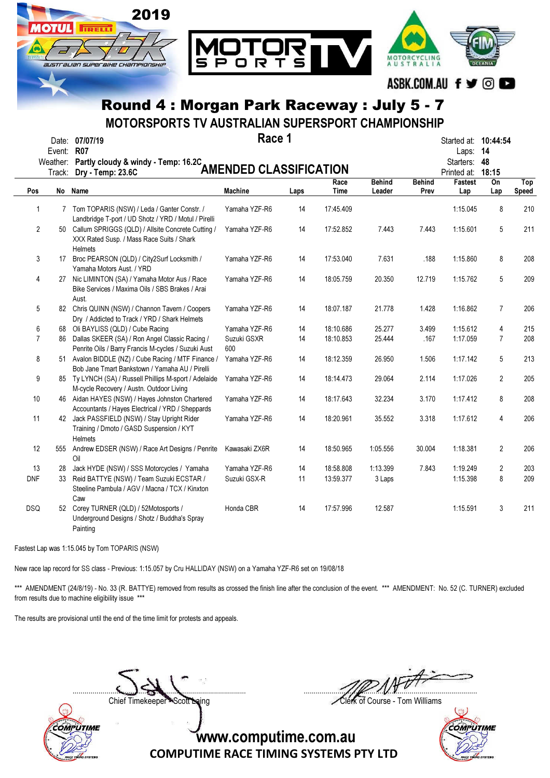

MOTORSPORTS TV AUSTRALIAN SUPERSPORT CHAMPIONSHIP

|                | Event: R07<br>Track: | Date: 07/07/19<br>Weather: Partly cloudy & windy - Temp: 16.2C<br>Dry - Temp: 23.6C                                 | Race 1<br><b>AMENDED CLASSIFICATION</b> |      | Started at: 10:44:54<br>Laps:<br>Starters: 48<br>Printed at: | -14<br>18:15            |                       |                |                |              |
|----------------|----------------------|---------------------------------------------------------------------------------------------------------------------|-----------------------------------------|------|--------------------------------------------------------------|-------------------------|-----------------------|----------------|----------------|--------------|
| Pos            |                      | No Name                                                                                                             | <b>Machine</b>                          | Laps | Race<br>Time                                                 | <b>Behind</b><br>Leader | <b>Behind</b><br>Prev | Fastest<br>Lap | On<br>Lap      | Top<br>Speed |
| 1              |                      | 7 Tom TOPARIS (NSW) / Leda / Ganter Constr. /<br>Landbridge T-port / UD Shotz / YRD / Motul / Pirelli               | Yamaha YZF-R6                           | 14   | 17:45.409                                                    |                         |                       | 1:15.045       | 8              | 210          |
| $\overline{c}$ |                      | 50 Callum SPRIGGS (QLD) / Allsite Concrete Cutting /<br>XXX Rated Susp. / Mass Race Suits / Shark<br><b>Helmets</b> | Yamaha YZF-R6                           | 14   | 17:52.852                                                    | 7.443                   | 7.443                 | 1:15.601       | 5              | 211          |
| 3              |                      | 17 Broc PEARSON (QLD) / City2Surf Locksmith /<br>Yamaha Motors Aust. / YRD                                          | Yamaha YZF-R6                           | 14   | 17:53.040                                                    | 7.631                   | .188                  | 1:15.860       | 8              | 208          |
| 4              |                      | 27 Nic LIMINTON (SA) / Yamaha Motor Aus / Race<br>Bike Services / Maxima Oils / SBS Brakes / Arai<br>Aust.          | Yamaha YZF-R6                           | 14   | 18:05.759                                                    | 20.350                  | 12.719                | 1:15.762       | 5              | 209          |
| 5              |                      | 82 Chris QUINN (NSW) / Channon Tavern / Coopers<br>Dry / Addicted to Track / YRD / Shark Helmets                    | Yamaha YZF-R6                           | 14   | 18:07.187                                                    | 21.778                  | 1.428                 | 1:16.862       | $\overline{7}$ | 206          |
| 6              |                      | 68 Oli BAYLISS (QLD) / Cube Racing                                                                                  | Yamaha YZF-R6                           | 14   | 18:10.686                                                    | 25.277                  | 3.499                 | 1:15.612       | 4              | 215          |
| $\overline{7}$ |                      | 86 Dallas SKEER (SA) / Ron Angel Classic Racing /<br>Penrite Oils / Barry Francis M-cycles / Suzuki Aust            | Suzuki GSXR<br>600                      | 14   | 18:10.853                                                    | 25.444                  | .167                  | 1:17.059       | $\overline{7}$ | 208          |
| 8              |                      | 51 Avalon BIDDLE (NZ) / Cube Racing / MTF Finance /<br>Bob Jane Tmart Bankstown / Yamaha AU / Pirelli               | Yamaha YZF-R6                           | 14   | 18:12.359                                                    | 26.950                  | 1.506                 | 1:17.142       | 5              | 213          |
| 9              |                      | 85 Ty LYNCH (SA) / Russell Phillips M-sport / Adelaide<br>M-cycle Recovery / Austn. Outdoor Living                  | Yamaha YZF-R6                           | 14   | 18:14.473                                                    | 29.064                  | 2.114                 | 1:17.026       | $\overline{2}$ | 205          |
| $10$           |                      | 46 Aidan HAYES (NSW) / Hayes Johnston Chartered<br>Accountants / Hayes Electrical / YRD / Sheppards                 | Yamaha YZF-R6                           | 14   | 18:17.643                                                    | 32.234                  | 3.170                 | 1:17.412       | 8              | 208          |
| 11             |                      | 42 Jack PASSFIELD (NSW) / Stay Upright Rider<br>Training / Dmoto / GASD Suspension / KYT<br><b>Helmets</b>          | Yamaha YZF-R6                           | 14   | 18:20.961                                                    | 35.552                  | 3.318                 | 1:17.612       | 4              | 206          |
| 12             |                      | 555 Andrew EDSER (NSW) / Race Art Designs / Penrite<br>Oil                                                          | Kawasaki ZX6R                           | 14   | 18:50.965                                                    | 1:05.556                | 30.004                | 1:18.381       | $\overline{2}$ | 206          |
| 13             | 28                   | Jack HYDE (NSW) / SSS Motorcycles / Yamaha                                                                          | Yamaha YZF-R6                           | 14   | 18:58.808                                                    | 1:13.399                | 7.843                 | 1:19.249       | $\overline{2}$ | 203          |
| <b>DNF</b>     | 33                   | Reid BATTYE (NSW) / Team Suzuki ECSTAR /<br>Steeline Pambula / AGV / Macna / TCX / Kinxton<br>Caw                   | Suzuki GSX-R                            | 11   | 13:59.377                                                    | 3 Laps                  |                       | 1:15.398       | 8              | 209          |
| <b>DSQ</b>     |                      | 52 Corey TURNER (QLD) / 52Motosports /<br>Underground Designs / Shotz / Buddha's Spray<br>Painting                  | Honda CBR                               | 14   | 17:57.996                                                    | 12.587                  |                       | 1:15.591       | 3              | 211          |

Fastest Lap was 1:15.045 by Tom TOPARIS (NSW)

New race lap record for SS class - Previous: 1:15.057 by Cru HALLIDAY (NSW) on a Yamaha YZF-R6 set on 19/08/18

\*\*\* AMENDMENT (24/8/19) - No. 33 (R. BATTYE) removed from results as crossed the finish line after the conclusion of the event. \*\*\* AMENDMENT: No. 52 (C. TURNER) excluded from results due to machine eligibility issue \*\*\*

The results are provisional until the end of the time limit for protests and appeals.



....................................................................................... ....................................................................................... Chief Timekeeper Scott Laing Chief Timekeeper Scott Laing

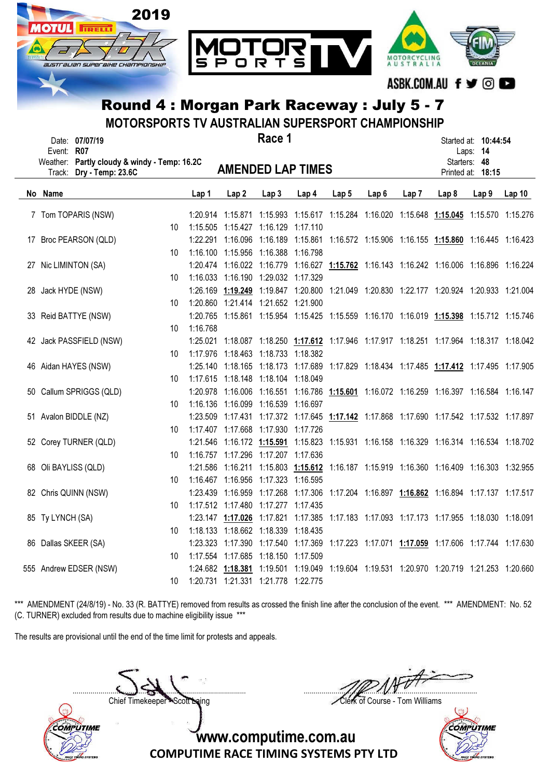

MOTORSPORTS TV AUSTRALIAN SUPERSPORT CHAMPIONSHIP

| Event: R07         | Date: 07/07/19                                                    |    |          |                                        | Race 1           |       |       |                  |       |                  | Started at: 10:44:54<br>Laps: 14                                                          |       |
|--------------------|-------------------------------------------------------------------|----|----------|----------------------------------------|------------------|-------|-------|------------------|-------|------------------|-------------------------------------------------------------------------------------------|-------|
| Track:             | Weather: Partly cloudy & windy - Temp: 16.2C<br>Dry - Temp: 23.6C |    |          | <b>AMENDED LAP TIMES</b>               |                  |       |       |                  |       |                  | Starters: 48<br>Printed at: 18:15                                                         |       |
| No Name            |                                                                   |    | Lap 1    | Lap2                                   | Lap <sub>3</sub> | Lap 4 | Lap 5 | Lap <sub>6</sub> | Lap 7 | Lap <sub>8</sub> | Lap <sub>9</sub>                                                                          | Lap10 |
|                    | 7 Tom TOPARIS (NSW)                                               |    |          |                                        |                  |       |       |                  |       |                  | 1:20.914 1:15.871 1:15.993 1:15.617 1:15.284 1:16.020 1:15.648 1:15.045 1:15.570 1:15.276 |       |
|                    |                                                                   | 10 |          | 1:15.505  1:15.427  1:16.129  1:17.110 |                  |       |       |                  |       |                  |                                                                                           |       |
|                    | 17 Broc PEARSON (QLD)                                             |    |          |                                        |                  |       |       |                  |       |                  | 1:22.291 1:16.096 1:16.189 1:15.861 1:16.572 1:15.906 1:16.155 1:15.860 1:16.445 1:16.423 |       |
|                    |                                                                   | 10 |          | 1:16.100 1:15.956 1:16.388 1:16.798    |                  |       |       |                  |       |                  |                                                                                           |       |
|                    | 27 Nic LIMINTON (SA)                                              |    |          |                                        |                  |       |       |                  |       |                  | 1:20.474 1:16.022 1:16.779 1:16.627 1:15.762 1:16.143 1:16.242 1:16.006 1:16.896 1:16.224 |       |
|                    |                                                                   | 10 |          | 1:16.033 1:16.190 1:29.032 1:17.329    |                  |       |       |                  |       |                  |                                                                                           |       |
| 28 Jack HYDE (NSW) |                                                                   |    |          |                                        |                  |       |       |                  |       |                  | 1:26.169 1:19.249 1:19.847 1:20.800 1:21.049 1:20.830 1:22.177 1:20.924 1:20.933 1:21.004 |       |
|                    |                                                                   | 10 |          | 1:20.860 1:21.414 1:21.652 1:21.900    |                  |       |       |                  |       |                  |                                                                                           |       |
|                    | 33 Reid BATTYE (NSW)                                              |    |          |                                        |                  |       |       |                  |       |                  | 1:20.765 1:15.861 1:15.954 1:15.425 1:15.559 1:16.170 1:16.019 1:15.398 1:15.712 1:15.746 |       |
|                    |                                                                   | 10 | 1:16.768 |                                        |                  |       |       |                  |       |                  |                                                                                           |       |
|                    | 42 Jack PASSFIELD (NSW)                                           |    |          |                                        |                  |       |       |                  |       |                  | 1:25.021 1:18.087 1:18.250 1:17.612 1:17.946 1:17.917 1:18.251 1:17.964 1:18.317 1:18.042 |       |
|                    |                                                                   | 10 |          | 1:17.976 1:18.463 1:18.733 1:18.382    |                  |       |       |                  |       |                  |                                                                                           |       |
|                    | 46 Aidan HAYES (NSW)                                              |    |          |                                        |                  |       |       |                  |       |                  | 1:25.140 1:18.165 1:18.173 1:17.689 1:17.829 1:18.434 1:17.485 1:17.412 1:17.495 1:17.905 |       |
|                    |                                                                   | 10 |          | 1:17.615 1:18.148 1:18.104 1:18.049    |                  |       |       |                  |       |                  |                                                                                           |       |
|                    | 50 Callum SPRIGGS (QLD)                                           |    |          |                                        |                  |       |       |                  |       |                  | 1:20.978 1:16.006 1:16.551 1:16.786 1:15.601 1:16.072 1:16.259 1:16.397 1:16.584 1:16.147 |       |
|                    |                                                                   | 10 |          | 1:16.136  1:16.099  1:16.539  1:16.697 |                  |       |       |                  |       |                  |                                                                                           |       |
|                    | 51 Avalon BIDDLE (NZ)                                             |    |          |                                        |                  |       |       |                  |       |                  | 1:23.509 1:17.431 1:17.372 1:17.645 1:17.142 1:17.868 1:17.690 1:17.542 1:17.532 1:17.897 |       |
|                    |                                                                   | 10 |          | 1:17.407 1:17.668 1:17.930 1:17.726    |                  |       |       |                  |       |                  |                                                                                           |       |
|                    | 52 Corey TURNER (QLD)                                             |    |          |                                        |                  |       |       |                  |       |                  | 1:21.546 1:16.172 1:15.591 1:15.823 1:15.931 1:16.158 1:16.329 1:16.314 1:16.534 1:18.702 |       |
|                    |                                                                   | 10 |          | 1:16.757 1:17.296 1:17.207 1:17.636    |                  |       |       |                  |       |                  |                                                                                           |       |
|                    | 68 Oli BAYLISS (QLD)                                              |    |          |                                        |                  |       |       |                  |       |                  | 1:21.586 1:16.211 1:15.803 1:15.612 1:16.187 1:15.919 1:16.360 1:16.409 1:16.303 1:32.955 |       |
|                    |                                                                   | 10 |          | 1:16.467 1:16.956 1:17.323 1:16.595    |                  |       |       |                  |       |                  |                                                                                           |       |
|                    | 82 Chris QUINN (NSW)                                              |    |          |                                        |                  |       |       |                  |       |                  | 1:23.439 1:16.959 1:17.268 1:17.306 1:17.204 1:16.897 1:16.862 1:16.894 1:17.137 1:17.517 |       |
|                    |                                                                   | 10 |          | 1:17.512 1:17.480 1:17.277 1:17.435    |                  |       |       |                  |       |                  |                                                                                           |       |
| 85 Ty LYNCH (SA)   |                                                                   |    |          |                                        |                  |       |       |                  |       |                  | 1:23.147 1:17.026 1:17.821 1:17.385 1:17.183 1:17.093 1:17.173 1:17.955 1:18.030 1:18.091 |       |
|                    |                                                                   | 10 |          | 1:18.133  1:18.662  1:18.339  1:18.435 |                  |       |       |                  |       |                  |                                                                                           |       |
|                    | 86 Dallas SKEER (SA)                                              |    |          |                                        |                  |       |       |                  |       |                  | 1:23.323 1:17.390 1:17.540 1:17.369 1:17.223 1:17.071 1:17.059 1:17.606 1:17.744 1:17.630 |       |
|                    |                                                                   | 10 |          | 1:17.554 1:17.685 1:18.150 1:17.509    |                  |       |       |                  |       |                  |                                                                                           |       |
|                    | 555 Andrew EDSER (NSW)                                            |    |          |                                        |                  |       |       |                  |       |                  | 1:24.682 1:18.381 1:19.501 1:19.049 1:19.604 1:19.531 1:20.970 1:20.719 1:21.253 1:20.660 |       |
|                    |                                                                   | 10 |          | 1:20.731  1:21.331  1:21.778  1:22.775 |                  |       |       |                  |       |                  |                                                                                           |       |

\*\*\* AMENDMENT (24/8/19) - No. 33 (R. BATTYE) removed from results as crossed the finish line after the conclusion of the event. \*\*\* AMENDMENT: No. 52 (C. TURNER) excluded from results due to machine eligibility issue \*\*\*

The results are provisional until the end of the time limit for protests and appeals.

Chief Timekeeper - Scott Laing Clerk of Course - Tom Williams

COMPUTIME

....................................................................................... .......................................................................................

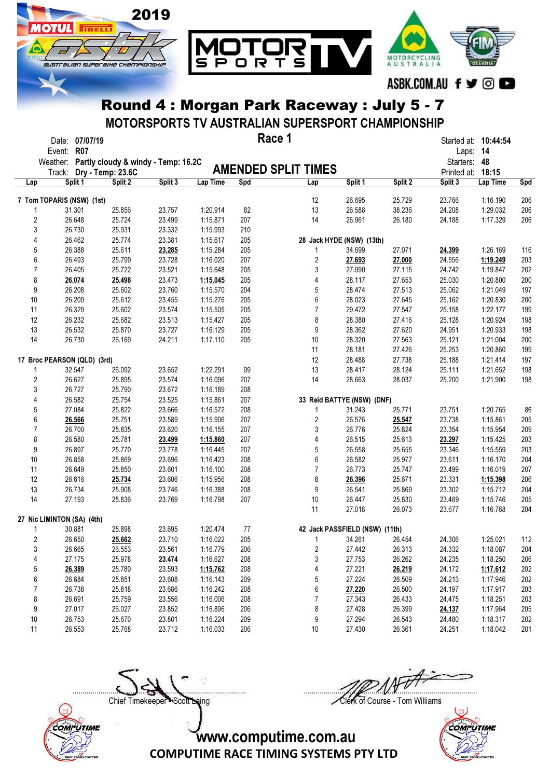

MOTORSPORTS TV AUSTRALIAN SUPERSPORT CHAMPIONSHIP

|                | Date: 07/07/19<br>Event: R07                 |         |         |          |     | Race 1                         |         |         | Laps: 14          | Started at: <b>10:44:54</b> |            |
|----------------|----------------------------------------------|---------|---------|----------|-----|--------------------------------|---------|---------|-------------------|-----------------------------|------------|
|                | Weather: Partly cloudy & windy - Temp: 16.2C |         |         |          |     |                                |         |         | Starters: 48      |                             |            |
|                | Track: Dry - Temp: 23.6C                     |         |         |          |     | <b>AMENDED SPLIT TIMES</b>     |         |         | Printed at: 18:15 |                             |            |
| Lap            | Split 1                                      | Split 2 | Split 3 | Lap Time | Spd | Lap                            | Split 1 | Split 2 | Split 3           | Lap Time                    | <b>Spd</b> |
|                | 7 Tom TOPARIS (NSW) (1st)                    |         |         |          |     | 12                             | 26.695  | 25.729  | 23.766            | 1:16.190                    | 206        |
|                | 31.301                                       | 25.856  | 23.757  | 1:20.914 | 82  | 13                             | 26.588  | 38.236  | 24.208            | 1:29.032                    | 206        |
| $\overline{2}$ | 26.648                                       | 25.724  | 23.499  | 1:15.871 | 207 | 14                             | 26.961  | 26.180  | 24.188            | 1:17.329                    | 206        |
| 3              | 26.730                                       | 25.931  | 23.332  | 1:15.993 | 210 |                                |         |         |                   |                             |            |
| 4              | 26.462                                       | 25.774  | 23.381  | 1:15.617 | 205 | 28 Jack HYDE (NSW) (13th)      |         |         |                   |                             |            |
| 5              | 26.388                                       | 25.611  | 23.285  | 1:15.284 | 205 | 1                              | 34.699  | 27.071  | 24.399            | 1:26.169                    | 116        |
| 6              | 26.493                                       | 25.799  | 23.728  | 1:16.020 | 207 | $\boldsymbol{2}$               | 27.693  | 27.000  | 24.556            | 1:19.249                    | 203        |
| $\overline{7}$ | 26.405                                       | 25.722  | 23.521  | 1:15.648 | 205 | 3                              | 27.990  | 27.115  | 24.742            | 1:19.847                    | 202        |
| 8              | 26.074                                       | 25.498  | 23.473  | 1:15.045 | 205 | 4                              | 28.117  | 27.653  | 25.030            | 1:20.800                    | 200        |
| 9              | 26.208                                       | 25.602  | 23.760  | 1:15.570 | 204 | 5                              | 28.474  | 27.513  | 25.062            | 1:21.049                    | 197        |
| 10             | 26.209                                       | 25.612  | 23.455  | 1:15.276 | 205 | 6                              | 28.023  | 27.645  | 25.162            | 1:20.830                    | 200        |
| 11             | 26.329                                       | 25.602  | 23.574  | 1:15.505 | 205 | $\overline{7}$                 | 29.472  | 27.547  | 25.158            | 1:22.177                    | 199        |
| 12             | 26.232                                       | 25.682  | 23.513  | 1:15.427 | 205 | 8                              | 28.380  | 27.416  | 25.128            | 1:20.924                    | 198        |
| 13             | 26.532                                       | 25.870  | 23.727  | 1:16.129 | 205 | 9                              | 28.362  | 27.620  | 24.951            | 1:20.933                    | 198        |
| 14             | 26.730                                       | 26.169  | 24.211  | 1:17.110 | 205 | 10                             | 28.320  | 27.563  | 25.121            | 1:21.004                    | 200        |
|                |                                              |         |         |          |     | 11                             | 28.181  | 27.426  | 25.253            | 1:20.860                    | 199        |
|                | 17 Broc PEARSON (QLD) (3rd)                  |         |         |          |     | 12                             | 28.488  | 27.738  | 25.188            | 1:21.414                    | 197        |
|                | 32.547                                       | 26.092  | 23.652  | 1:22.291 | 99  | 13                             | 28.417  | 28.124  | 25.111            | 1:21.652                    | 198        |
| 2              | 26.627                                       | 25.895  | 23.574  | 1:16.096 | 207 | 14                             | 28.663  | 28.037  | 25.200            | 1:21.900                    | 198        |
| 3              | 26.727                                       | 25.790  | 23.672  | 1:16.189 | 208 |                                |         |         |                   |                             |            |
| 4              | 26.582                                       | 25.754  | 23.525  | 1:15.861 | 207 | 33 Reid BATTYE (NSW) (DNF)     |         |         |                   |                             |            |
| 5              | 27.084                                       | 25.822  | 23.666  | 1:16.572 | 208 | 1                              | 31.243  | 25.771  | 23.751            | 1:20.765                    | 86         |
| 6              | 26.566                                       | 25.751  | 23.589  | 1:15.906 | 207 | $\overline{c}$                 | 26.576  | 25.547  | 23.738            | 1:15.861                    | 205        |
| 7              | 26.700                                       | 25.835  | 23.620  | 1:16.155 | 207 | 3                              | 26.776  | 25.824  | 23.354            | 1:15.954                    | 209        |
| 8              | 26.580                                       | 25.781  | 23.499  | 1:15.860 | 207 | 4                              | 26.515  | 25.613  | 23.297            | 1:15.425                    | 203        |
| 9              | 26.897                                       | 25.770  | 23.778  | 1:16.445 | 207 | 5                              | 26.558  | 25.655  | 23.346            | 1:15.559                    | 203        |
| 10             | 26.858                                       | 25.869  | 23.696  | 1:16.423 | 208 | 6                              | 26.582  | 25.977  | 23.611            | 1:16.170                    | 204        |
| 11             | 26.649                                       | 25.850  | 23.601  | 1:16.100 | 208 | $\overline{7}$                 | 26.773  | 25.747  | 23.499            | 1:16.019                    | 207        |
| 12             | 26.616                                       | 25.734  | 23.606  | 1:15.956 | 208 | 8                              | 26.396  | 25.671  | 23.331            | 1:15.398                    | 206        |
| 13             | 26.734                                       | 25.908  | 23.746  | 1:16.388 | 208 | 9                              | 26.541  | 25.869  | 23.302            | 1:15.712                    | 204        |
| 14             | 27.193                                       | 25.836  | 23.769  | 1:16.798 | 207 | 10                             | 26.447  | 25.830  | 23.469            | 1:15.746                    | 205        |
|                |                                              |         |         |          |     | 11                             | 27.018  | 26.073  | 23.677            | 1:16.768                    | 204        |
|                | 27 Nic LIMINTON (SA) (4th)                   |         |         |          |     |                                |         |         |                   |                             |            |
|                | 30.881                                       | 25.898  | 23.695  | 1:20.474 | 77  | 42 Jack PASSFIELD (NSW) (11th) |         |         |                   |                             |            |
| $\overline{2}$ | 26.650                                       | 25.662  | 23.710  | 1:16.022 | 205 | 1                              | 34.261  | 26.454  | 24.306            | 1:25.021                    | 112        |
| 3              | 26.665                                       | 26.553  | 23.561  | 1:16.779 | 206 | 2                              | 27.442  | 26.313  | 24.332            | 1:18.087                    | 204        |
| 4              | 27.175                                       | 25.978  | 23.474  | 1:16.627 | 208 | 3                              | 27.753  | 26.262  | 24.235            | 1:18.250                    | 206        |
| 5              | 26.389                                       | 25.780  | 23.593  | 1:15.762 | 208 | 4                              | 27.221  | 26.219  | 24.172            | 1:17.612                    | 202        |
| 6              | 26.684                                       | 25.851  | 23.608  | 1:16.143 | 209 | 5                              | 27.224  | 26.509  | 24.213            | 1:17.946                    | 202        |
| 7              | 26.738                                       | 25.818  | 23.686  | 1:16.242 | 208 | 6                              | 27.220  | 26.500  | 24.197            | 1:17.917                    | 203        |
| 8              | 26.691                                       | 25.759  | 23.556  | 1:16.006 | 208 | 7                              | 27.343  | 26.433  | 24.475            | 1:18.251                    | 203        |
| 9              | 27.017                                       | 26.027  | 23.852  | 1:16.896 | 206 | 8                              | 27.428  | 26.399  | 24.137            | 1:17.964                    | 205        |
| 10             | 26.753                                       | 25.670  | 23.801  | 1:16.224 | 209 | 9                              | 27.294  | 26.543  | 24.480            | 1:18.317                    | 202        |
| 11             | 26.553                                       | 25.768  | 23.712  | 1:16.033 | 206 | $10$                           | 27.430  | 26.361  | 24.251            | 1:18.042                    | 201        |



....................................................................................... ....................................................................................... Chief Timekeeper - Scott Laing Clerk of Course - Tom Williams

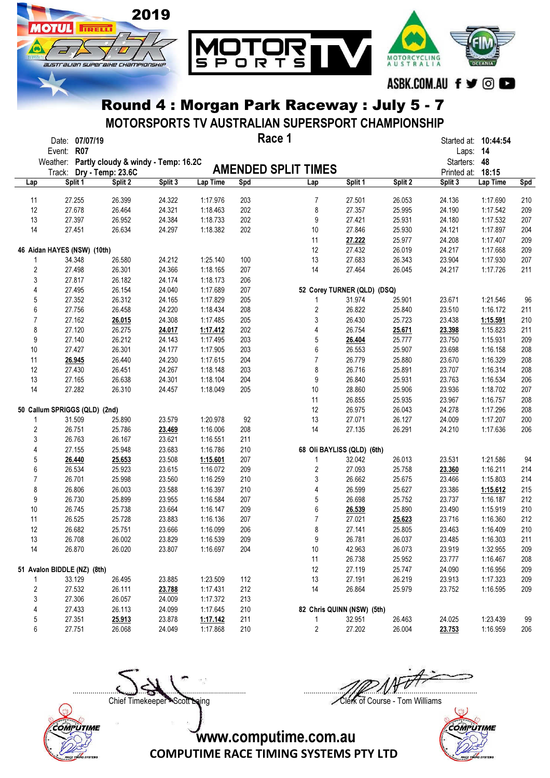

MOTORSPORTS TV AUSTRALIAN SUPERSPORT CHAMPIONSHIP

|                | Date: 07/07/19<br><b>R07</b><br>Event: |                                     |         |          |     | Race 1                      |         |         | Started at: 10:44:54<br>Laps: 14 |          |            |
|----------------|----------------------------------------|-------------------------------------|---------|----------|-----|-----------------------------|---------|---------|----------------------------------|----------|------------|
|                | Weather:                               | Partly cloudy & windy - Temp: 16.2C |         |          |     | <b>AMENDED SPLIT TIMES</b>  |         |         | Starters: 48                     |          |            |
|                | Track:<br>Split 1                      | Dry - Temp: 23.6C<br>Split 2        | Split 3 | Lap Time | Spd |                             | Split 1 | Split 2 | Printed at: 18:15<br>Split 3     | Lap Time |            |
| Lap            |                                        |                                     |         |          |     | Lap                         |         |         |                                  |          | <b>Spd</b> |
| 11             | 27.255                                 | 26.399                              | 24.322  | 1:17.976 | 203 | $\overline{7}$              | 27.501  | 26.053  | 24.136                           | 1:17.690 | 210        |
| 12             | 27.678                                 | 26.464                              | 24.321  | 1:18.463 | 202 | 8                           | 27.357  | 25.995  | 24.190                           | 1:17.542 | 209        |
| 13             | 27.397                                 | 26.952                              | 24.384  | 1:18.733 | 202 | 9                           | 27.421  | 25.931  | 24.180                           | 1:17.532 | 207        |
| 14             | 27.451                                 | 26.634                              | 24.297  | 1:18.382 | 202 | 10                          | 27.846  | 25.930  | 24.121                           | 1:17.897 | 204        |
|                |                                        |                                     |         |          |     | 11                          | 27.222  | 25.977  | 24.208                           | 1:17.407 | 209        |
|                | 46 Aidan HAYES (NSW) (10th)            |                                     |         |          |     | 12                          | 27.432  | 26.019  | 24.217                           | 1:17.668 | 209        |
|                | 34.348                                 | 26.580                              | 24.212  | 1:25.140 | 100 | 13                          | 27.683  | 26.343  | 23.904                           | 1:17.930 | 207        |
| 2              | 27.498                                 | 26.301                              | 24.366  | 1:18.165 | 207 | 14                          | 27.464  | 26.045  | 24.217                           | 1:17.726 | 211        |
| 3              | 27.817                                 | 26.182                              | 24.174  | 1:18.173 | 206 |                             |         |         |                                  |          |            |
| 4              | 27.495                                 | 26.154                              | 24.040  | 1:17.689 | 207 | 52 Corey TURNER (QLD) (DSQ) |         |         |                                  |          |            |
| 5              | 27.352                                 | 26.312                              | 24.165  | 1:17.829 | 205 | 1                           | 31.974  | 25.901  | 23.671                           | 1:21.546 | 96         |
| 6              | 27.756                                 | 26.458                              | 24.220  | 1:18.434 | 208 | $\overline{c}$              | 26.822  | 25.840  | 23.510                           | 1:16.172 | 211        |
| $\overline{7}$ | 27.162                                 | 26.015                              | 24.308  | 1:17.485 | 205 | $\sqrt{3}$                  | 26.430  | 25.723  | 23.438                           | 1:15.591 | 210        |
| 8              | 27.120                                 | 26.275                              | 24.017  | 1:17.412 | 202 | 4                           | 26.754  | 25.671  | 23.398                           | 1:15.823 | 211        |
| 9              | 27.140                                 | 26.212                              | 24.143  | 1:17.495 | 203 | 5                           | 26.404  | 25.777  | 23.750                           | 1:15.931 | 209        |
| 10             | 27.427                                 | 26.301                              | 24.177  | 1:17.905 | 203 | 6                           | 26.553  | 25.907  | 23.698                           | 1:16.158 | 208        |
| 11             | 26.945                                 | 26.440                              | 24.230  | 1:17.615 | 204 | $\overline{7}$              | 26.779  | 25.880  | 23.670                           | 1:16.329 | 208        |
| 12             | 27.430                                 | 26.451                              | 24.267  | 1:18.148 | 203 | 8                           | 26.716  | 25.891  | 23.707                           | 1:16.314 | 208        |
| 13             | 27.165                                 | 26.638                              | 24.301  | 1:18.104 | 204 | 9                           | 26.840  | 25.931  | 23.763                           | 1:16.534 | 206        |
| 14             | 27.282                                 | 26.310                              | 24.457  | 1:18.049 | 205 | 10                          | 28.860  | 25.906  | 23.936                           | 1:18.702 | 207        |
|                |                                        |                                     |         |          |     | 11                          | 26.855  | 25.935  | 23.967                           | 1:16.757 | 208        |
|                | 50 Callum SPRIGGS (QLD) (2nd)          |                                     |         |          |     | 12                          | 26.975  | 26.043  | 24.278                           | 1:17.296 | 208        |
| 1              | 31.509                                 | 25.890                              | 23.579  | 1:20.978 | 92  | 13                          | 27.071  | 26.127  | 24.009                           | 1:17.207 | 200        |
| 2              | 26.751                                 | 25.786                              | 23.469  | 1:16.006 | 208 | 14                          | 27.135  | 26.291  | 24.210                           | 1:17.636 | 206        |
| 3              | 26.763                                 | 26.167                              | 23.621  | 1:16.551 | 211 |                             |         |         |                                  |          |            |
| 4              | 27.155                                 | 25.948                              | 23.683  | 1:16.786 | 210 | 68 Oli BAYLISS (QLD) (6th)  |         |         |                                  |          |            |
| 5              | 26.440                                 | 25.653                              | 23.508  | 1:15.601 | 207 | 1                           | 32.042  | 26.013  | 23.531                           | 1:21.586 | 94         |
| 6              | 26.534                                 | 25.923                              | 23.615  | 1:16.072 | 209 | $\overline{c}$              | 27.093  | 25.758  | 23.360                           | 1:16.211 | 214        |
| 7              | 26.701                                 | 25.998                              | 23.560  | 1:16.259 | 210 | 3                           | 26.662  | 25.675  | 23.466                           | 1:15.803 | 214        |
| 8              | 26.806                                 | 26.003                              | 23.588  | 1:16.397 | 210 | 4                           | 26.599  | 25.627  | 23.386                           | 1:15.612 | 215        |
| 9              | 26.730                                 | 25.899                              | 23.955  | 1:16.584 | 207 | 5                           | 26.698  | 25.752  | 23.737                           | 1:16.187 | 212        |
| 10             | 26.745                                 | 25.738                              | 23.664  | 1:16.147 | 209 | 6                           | 26.539  | 25.890  | 23.490                           | 1:15.919 | 210        |
| 11             | 26.525                                 | 25.728                              | 23.883  | 1:16.136 | 207 | $\overline{7}$              | 27.021  | 25.623  | 23.716                           | 1:16.360 | 212        |
| 12             | 26.682                                 | 25.751                              | 23.666  | 1:16.099 | 206 | 8                           | 27.141  | 25.805  | 23.463                           | 1:16.409 | 210        |
| 13             | 26.708                                 | 26.002                              | 23.829  | 1:16.539 | 209 | 9                           | 26.781  | 26.037  | 23.485                           | 1:16.303 | 211        |
| 14             | 26.870                                 | 26.020                              | 23.807  | 1:16.697 | 204 | 10                          | 42.963  | 26.073  | 23.919                           | 1:32.955 | 209        |
|                |                                        |                                     |         |          |     | 11                          | 26.738  | 25.952  | 23.777                           | 1:16.467 | 208        |
|                | 51 Avalon BIDDLE (NZ) (8th)            |                                     |         |          |     | 12                          | 27.119  | 25.747  | 24.090                           | 1:16.956 | 209        |
| 1              | 33.129                                 | 26.495                              | 23.885  | 1:23.509 | 112 | 13                          | 27.191  | 26.219  | 23.913                           | 1:17.323 | 209        |
| 2              | 27.532                                 | 26.111                              | 23.788  | 1:17.431 | 212 | 14                          | 26.864  | 25.979  | 23.752                           | 1:16.595 | 209        |
| 3              | 27.306                                 | 26.057                              | 24.009  | 1:17.372 | 213 |                             |         |         |                                  |          |            |
| 4              | 27.433                                 | 26.113                              | 24.099  | 1:17.645 | 210 | 82 Chris QUINN (NSW) (5th)  |         |         |                                  |          |            |
| 5              | 27.351                                 | 25.913                              | 23.878  | 1:17.142 | 211 | 1                           | 32.951  | 26.463  | 24.025                           | 1:23.439 | 99         |
| 6              | 27.751                                 | 26.068                              | 24.049  | 1:17.868 | 210 | $\overline{\mathbf{c}}$     | 27.202  | 26.004  | 23.753                           | 1:16.959 | 206        |





....................................................................................... .......................................................................................

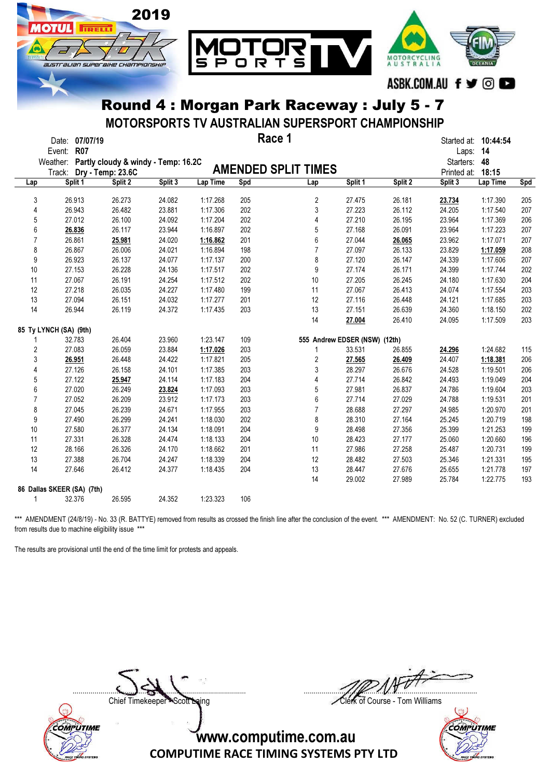

MOTORSPORTS TV AUSTRALIAN SUPERSPORT CHAMPIONSHIP

|                | Date: 07/07/19<br><b>R07</b><br>Event: |                                     |         |          |     | Race 1                        |         |         | Started at: <b>10:44:54</b><br>Laps: 14 |          |     |
|----------------|----------------------------------------|-------------------------------------|---------|----------|-----|-------------------------------|---------|---------|-----------------------------------------|----------|-----|
|                | Weather:                               | Partly cloudy & windy - Temp: 16.2C |         |          |     |                               |         |         | Starters: 48                            |          |     |
|                | Track:                                 | Dry - Temp: 23.6C                   |         |          |     | <b>AMENDED SPLIT TIMES</b>    |         |         | Printed at:                             | 18:15    |     |
| Lap            | Split 1                                | Split 2                             | Split 3 | Lap Time | Spd | Lap                           | Split 1 | Split 2 | Split 3                                 | Lap Time | Spd |
|                |                                        |                                     |         |          |     |                               |         |         |                                         |          |     |
| 3              | 26.913                                 | 26.273                              | 24.082  | 1:17.268 | 205 | $\sqrt{2}$                    | 27.475  | 26.181  | 23.734                                  | 1:17.390 | 205 |
| 4              | 26.943                                 | 26.482                              | 23.881  | 1:17.306 | 202 | 3                             | 27.223  | 26.112  | 24.205                                  | 1:17.540 | 207 |
| 5              | 27.012                                 | 26.100                              | 24.092  | 1:17.204 | 202 | 4                             | 27.210  | 26.195  | 23.964                                  | 1:17.369 | 206 |
| 6              | 26.836                                 | 26.117                              | 23.944  | 1:16.897 | 202 | 5                             | 27.168  | 26.091  | 23.964                                  | 1:17.223 | 207 |
| $\overline{7}$ | 26.861                                 | 25.981                              | 24.020  | 1:16.862 | 201 | 6                             | 27.044  | 26.065  | 23.962                                  | 1:17.071 | 207 |
| 8              | 26.867                                 | 26.006                              | 24.021  | 1:16.894 | 198 | $\overline{7}$                | 27.097  | 26.133  | 23.829                                  | 1:17.059 | 208 |
| 9              | 26.923                                 | 26.137                              | 24.077  | 1:17.137 | 200 | 8                             | 27.120  | 26.147  | 24.339                                  | 1:17.606 | 207 |
| 10             | 27.153                                 | 26.228                              | 24.136  | 1:17.517 | 202 | $\mathsf g$                   | 27.174  | 26.171  | 24.399                                  | 1:17.744 | 202 |
| 11             | 27.067                                 | 26.191                              | 24.254  | 1:17.512 | 202 | 10                            | 27.205  | 26.245  | 24.180                                  | 1:17.630 | 204 |
| 12             | 27.218                                 | 26.035                              | 24.227  | 1:17.480 | 199 | 11                            | 27.067  | 26.413  | 24.074                                  | 1:17.554 | 203 |
| 13             | 27.094                                 | 26.151                              | 24.032  | 1:17.277 | 201 | 12                            | 27.116  | 26.448  | 24.121                                  | 1:17.685 | 203 |
| 14             | 26.944                                 | 26.119                              | 24.372  | 1:17.435 | 203 | 13                            | 27.151  | 26.639  | 24.360                                  | 1:18.150 | 202 |
|                |                                        |                                     |         |          |     | 14                            | 27.004  | 26.410  | 24.095                                  | 1:17.509 | 203 |
|                | 85 Ty LYNCH (SA) (9th)                 |                                     |         |          |     |                               |         |         |                                         |          |     |
|                | 32.783                                 | 26.404                              | 23.960  | 1:23.147 | 109 | 555 Andrew EDSER (NSW) (12th) |         |         |                                         |          |     |
| $\overline{2}$ | 27.083                                 | 26.059                              | 23.884  | 1:17.026 | 203 | 1                             | 33.531  | 26.855  | 24.296                                  | 1:24.682 | 115 |
| 3              | 26.951                                 | 26.448                              | 24.422  | 1:17.821 | 205 | $\overline{\mathbf{c}}$       | 27.565  | 26.409  | 24.407                                  | 1:18.381 | 206 |
| 4              | 27.126                                 | 26.158                              | 24.101  | 1:17.385 | 203 | 3                             | 28.297  | 26.676  | 24.528                                  | 1:19.501 | 206 |
| 5              | 27.122                                 | 25.947                              | 24.114  | 1:17.183 | 204 | 4                             | 27.714  | 26.842  | 24.493                                  | 1:19.049 | 204 |
| 6              | 27.020                                 | 26.249                              | 23.824  | 1:17.093 | 203 | 5                             | 27.981  | 26.837  | 24.786                                  | 1:19.604 | 203 |
| $\overline{7}$ | 27.052                                 | 26.209                              | 23.912  | 1:17.173 | 203 | 6                             | 27.714  | 27.029  | 24.788                                  | 1:19.531 | 201 |
| 8              | 27.045                                 | 26.239                              | 24.671  | 1:17.955 | 203 | $\overline{7}$                | 28.688  | 27.297  | 24.985                                  | 1:20.970 | 201 |
| 9              | 27.490                                 | 26.299                              | 24.241  | 1:18.030 | 202 | 8                             | 28.310  | 27.164  | 25.245                                  | 1:20.719 | 198 |
| 10             | 27.580                                 | 26.377                              | 24.134  | 1:18.091 | 204 | 9                             | 28.498  | 27.356  | 25.399                                  | 1:21.253 | 199 |
| 11             | 27.331                                 | 26.328                              | 24.474  | 1:18.133 | 204 | 10                            | 28.423  | 27.177  | 25.060                                  | 1:20.660 | 196 |
| 12             | 28.166                                 | 26.326                              | 24.170  | 1:18.662 | 201 | 11                            | 27.986  | 27.258  | 25.487                                  | 1:20.731 | 199 |
| 13             | 27.388                                 | 26.704                              | 24.247  | 1:18.339 | 204 | 12                            | 28.482  | 27.503  | 25.346                                  | 1:21.331 | 195 |
| 14             | 27.646                                 | 26.412                              | 24.377  | 1:18.435 | 204 | 13                            | 28.447  | 27.676  | 25.655                                  | 1:21.778 | 197 |
|                |                                        |                                     |         |          |     | 14                            | 29.002  | 27.989  | 25.784                                  | 1:22.775 | 193 |
|                | 86 Dallas SKEER (SA) (7th)             |                                     |         |          |     |                               |         |         |                                         |          |     |
| 1              | 32.376                                 | 26.595                              | 24.352  | 1:23.323 | 106 |                               |         |         |                                         |          |     |

\*\*\* AMENDMENT (24/8/19) - No. 33 (R. BATTYE) removed from results as crossed the finish line after the conclusion of the event. \*\*\* AMENDMENT: No. 52 (C. TURNER) excluded from results due to machine eligibility issue \*\*\*

The results are provisional until the end of the time limit for protests and appeals.



....................................................................................... .......................................................................................

Chief Timekeeper Scott Laing Clerk of Course - Tom Williams

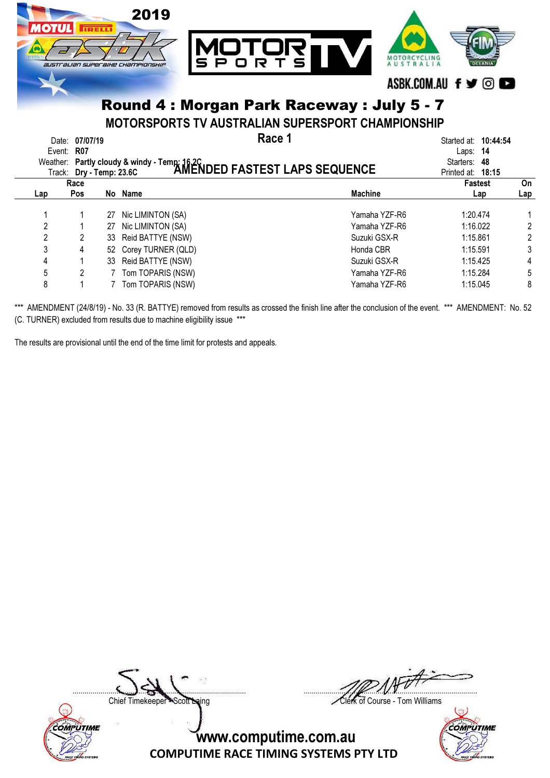

MOTORSPORTS TV AUSTRALIAN SUPERSPORT CHAMPIONSHIP

| Event: R07 | Date: 07/07/19 | Weather: Partly cloudy & windy - Temp: 16.2C<br>Track: Dry - Temp: 23.6C <b>AMENDED FASTEST LAPS SEQUENCE</b> | Race 1         | Started at: <b>10:44:54</b><br>Laps: $14$<br>Starters: 48<br>Printed at: 18:15 |     |
|------------|----------------|---------------------------------------------------------------------------------------------------------------|----------------|--------------------------------------------------------------------------------|-----|
|            | Race           |                                                                                                               |                | <b>Fastest</b>                                                                 | On  |
| Lap        | <b>Pos</b>     | No Name                                                                                                       | <b>Machine</b> | Lap                                                                            | Lap |
|            | 27             | Nic LIMINTON (SA)                                                                                             | Yamaha YZF-R6  | 1:20.474                                                                       |     |
| 2          |                | 27 Nic LIMINTON (SA)                                                                                          | Yamaha YZF-R6  | 1:16.022                                                                       | 2   |
| 2          |                | 33 Reid BATTYE (NSW)                                                                                          | Suzuki GSX-R   | 1:15.861                                                                       | 2   |
| 3          |                | 52 Corey TURNER (QLD)                                                                                         | Honda CBR      | 1:15.591                                                                       | 3   |
| 4          |                | 33 Reid BATTYE (NSW)                                                                                          | Suzuki GSX-R   | 1:15.425                                                                       | 4   |
| 5          |                | Tom TOPARIS (NSW)                                                                                             | Yamaha YZF-R6  | 1:15.284                                                                       | 5   |
| 8          |                | Tom TOPARIS (NSW)                                                                                             | Yamaha YZF-R6  | 1:15.045                                                                       | 8   |

\*\*\* AMENDMENT (24/8/19) - No. 33 (R. BATTYE) removed from results as crossed the finish line after the conclusion of the event. \*\*\* AMENDMENT: No. 52 (C. TURNER) excluded from results due to machine eligibility issue \*\*\*

The results are provisional until the end of the time limit for protests and appeals.



....................................................................................... .......................................................................................

Chief Timekeeper - Scott Laing Clerk of Course - Tom Williams

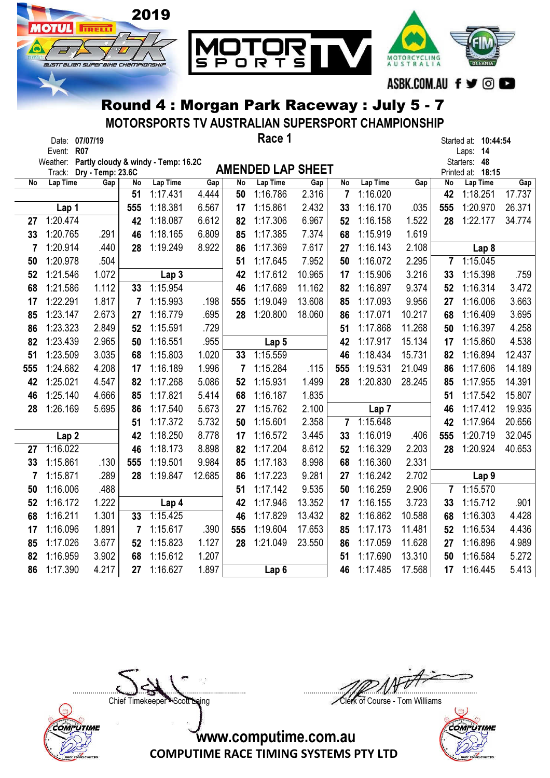

MOTORSPORTS TV AUSTRALIAN SUPERSPORT CHAMPIONSHIP

| Race 1<br>Date: 07/07/19<br>Event: R07 |                  |                                 |     |                                              |        |     |                          |        |                |                  |        | Started at: 10:44:54<br>Laps: 14 |                               |        |
|----------------------------------------|------------------|---------------------------------|-----|----------------------------------------------|--------|-----|--------------------------|--------|----------------|------------------|--------|----------------------------------|-------------------------------|--------|
|                                        |                  |                                 |     | Weather: Partly cloudy & windy - Temp: 16.2C |        |     | <b>AMENDED LAP SHEET</b> |        |                |                  |        |                                  | Starters: 48                  |        |
| No                                     | Lap Time         | Track: Dry - Temp: 23.6C<br>Gap | No  | Lap Time                                     | Gap    | No  | Lap Time                 | Gap    | No             | Lap Time         | Gap    | No                               | Printed at: 18:15<br>Lap Time | Gap    |
|                                        |                  |                                 | 51  | 1:17.431                                     | 4.444  | 50  | 1:16.786                 | 2.316  | $\overline{7}$ | 1:16.020         |        | 42                               | 1:18.251                      | 17.737 |
|                                        | Lap 1            |                                 | 555 | 1:18.381                                     | 6.567  | 17  | 1:15.861                 | 2.432  | 33             | 1:16.170         | .035   | 555                              | 1:20.970                      | 26.371 |
| 27                                     | 1:20.474         |                                 | 42  | 1:18.087                                     | 6.612  | 82  | 1:17.306                 | 6.967  | 52             | 1:16.158         | 1.522  | 28                               | 1:22.177                      | 34.774 |
| 33                                     | 1:20.765         | .291                            | 46  | 1:18.165                                     | 6.809  | 85  | 1:17.385                 | 7.374  | 68             | 1:15.919         | 1.619  |                                  |                               |        |
| 7                                      | 1:20.914         | .440                            | 28  | 1:19.249                                     | 8.922  | 86  | 1:17.369                 | 7.617  | 27             | 1:16.143         | 2.108  |                                  | Lap 8                         |        |
| 50                                     | 1:20.978         | .504                            |     |                                              |        | 51  | 1:17.645                 | 7.952  | 50             | 1:16.072         | 2.295  | $\overline{7}$                   | 1:15.045                      |        |
| 52                                     | 1:21.546         | 1.072                           |     | Lap 3                                        |        | 42  | 1:17.612                 | 10.965 | 17             | 1:15.906         | 3.216  | 33                               | 1:15.398                      | .759   |
| 68                                     | 1:21.586         | 1.112                           | 33  | 1:15.954                                     |        | 46  | 1:17.689                 | 11.162 | 82             | 1:16.897         | 9.374  | 52                               | 1:16.314                      | 3.472  |
| 17                                     | 1:22.291         | 1.817                           | 7   | 1:15.993                                     | .198   | 555 | 1:19.049                 | 13.608 | 85             | 1:17.093         | 9.956  | 27                               | 1:16.006                      | 3.663  |
| 85                                     | 1:23.147         | 2.673                           | 27  | 1:16.779                                     | .695   | 28  | 1:20.800                 | 18.060 | 86             | 1:17.071         | 10.217 | 68                               | 1:16.409                      | 3.695  |
| 86                                     | 1:23.323         | 2.849                           | 52  | 1:15.591                                     | .729   |     |                          |        | 51             | 1:17.868         | 11.268 | 50                               | 1:16.397                      | 4.258  |
| 82                                     | 1:23.439         | 2.965                           | 50  | 1:16.551                                     | .955   |     | Lap 5                    |        | 42             | 1:17.917         | 15.134 | 17                               | 1:15.860                      | 4.538  |
| 51                                     | 1:23.509         | 3.035                           | 68  | 1:15.803                                     | 1.020  | 33  | 1:15.559                 |        | 46             | 1:18.434         | 15.731 | 82                               | 1:16.894                      | 12.437 |
| 555                                    | 1:24.682         | 4.208                           | 17  | 1:16.189                                     | 1.996  | 7   | 1:15.284                 | .115   | 555            | 1:19.531         | 21.049 | 86                               | 1:17.606                      | 14.189 |
| 42                                     | 1:25.021         | 4.547                           | 82  | 1:17.268                                     | 5.086  | 52  | 1:15.931                 | 1.499  | 28             | 1:20.830         | 28.245 | 85                               | 1:17.955                      | 14.391 |
| 46                                     | 1:25.140         | 4.666                           | 85  | 1:17.821                                     | 5.414  | 68  | 1:16.187                 | 1.835  |                |                  |        | 51                               | 1:17.542                      | 15.807 |
| 28                                     | 1:26.169         | 5.695                           | 86  | 1:17.540                                     | 5.673  | 27  | 1:15.762                 | 2.100  |                | Lap <sub>7</sub> |        | 46                               | 1:17.412                      | 19.935 |
|                                        |                  |                                 | 51  | 1:17.372                                     | 5.732  | 50  | 1:15.601                 | 2.358  | $\overline{7}$ | 1:15.648         |        | 42                               | 1:17.964                      | 20.656 |
|                                        | Lap <sub>2</sub> |                                 | 42  | 1:18.250                                     | 8.778  | 17  | 1:16.572                 | 3.445  | 33             | 1:16.019         | .406   | 555                              | 1:20.719                      | 32.045 |
| 27                                     | 1:16.022         |                                 | 46  | 1:18.173                                     | 8.898  | 82  | 1:17.204                 | 8.612  | 52             | 1:16.329         | 2.203  | 28                               | 1:20.924                      | 40.653 |
| 33                                     | 1:15.861         | .130                            | 555 | 1:19.501                                     | 9.984  | 85  | 1:17.183                 | 8.998  | 68             | 1:16.360         | 2.331  |                                  |                               |        |
| 7                                      | 1:15.871         | .289                            | 28  | 1:19.847                                     | 12.685 | 86  | 1:17.223                 | 9.281  | 27             | 1:16.242         | 2.702  |                                  | Lap <sub>9</sub>              |        |
| 50                                     | 1:16.006         | .488                            |     |                                              |        | 51  | 1:17.142                 | 9.535  | 50             | 1:16.259         | 2.906  | $\overline{7}$                   | 1:15.570                      |        |
| 52                                     | 1:16.172         | 1.222                           |     | Lap 4                                        |        | 42  | 1:17.946                 | 13.352 | 17             | 1:16.155         | 3.723  | 33                               | 1:15.712                      | .901   |
| 68                                     | 1:16.211         | 1.301                           | 33  | 1:15.425                                     |        | 46  | 1:17.829                 | 13.432 | 82             | 1:16.862         | 10.588 | 68                               | 1:16.303                      | 4.428  |
| 17                                     | 1:16.096         | 1.891                           | 7   | 1:15.617                                     | .390   | 555 | 1:19.604                 | 17.653 | 85             | 1:17.173         | 11.481 | 52                               | 1:16.534                      | 4.436  |
| 85                                     | 1:17.026         | 3.677                           | 52  | 1:15.823                                     | 1.127  | 28  | 1:21.049                 | 23.550 | 86             | 1:17.059         | 11.628 | 27                               | 1:16.896                      | 4.989  |
| 82                                     | 1:16.959         | 3.902                           | 68  | 1:15.612                                     | 1.207  |     |                          |        | 51             | 1:17.690         | 13.310 | 50                               | 1:16.584                      | 5.272  |
| 86                                     | 1:17.390         | 4.217                           | 27  | 1:16.627                                     | 1.897  |     | Lap <sub>6</sub>         |        | 46             | 1:17.485         | 17.568 | 17                               | 1:16.445                      | 5.413  |



....................................................................................... ....................................................................................... Chief Timekeeper - Scott Laing Clerk of Course - Tom Williams

 $\mathbb{Q}$ COMPUTIME

www.computime.com.au

COMPUTIME RACE TIMING SYSTEMS PTY LTD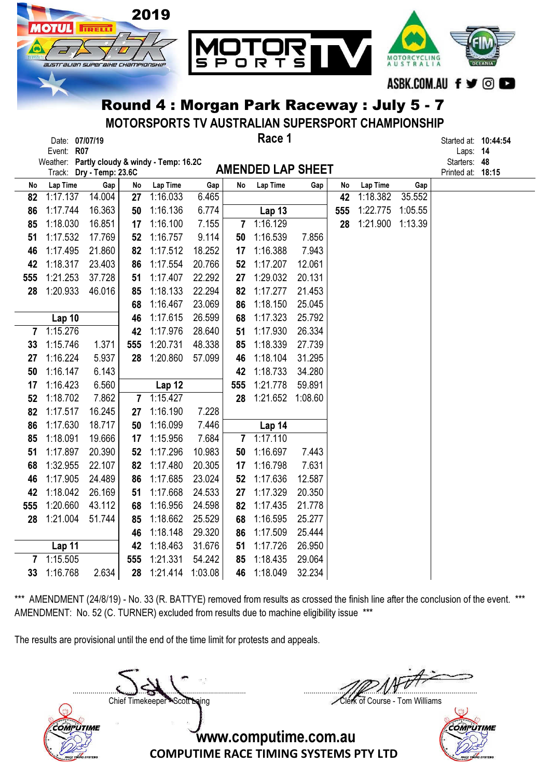

MOTORSPORTS TV AUSTRALIAN SUPERSPORT CHAMPIONSHIP

|            | Date: 07/07/19                               | Race 1 | Started at: 10 |      |
|------------|----------------------------------------------|--------|----------------|------|
| Event: R07 |                                              |        | $\text{Laps}:$ | - 14 |
|            | Weather: Partly cloudy & windy - Temp: 16.20 |        | Startore: AR   |      |

Started at: **10:44:54** 

| Weather: Partly cloudy & windy - Temp: 16.2C |                          | Starters: 48   |  |
|----------------------------------------------|--------------------------|----------------|--|
| Track: Drv - Temp: 23.6C                     | <b>AMENDED LAP SHEET</b> | Printed at: 18 |  |

| <b>MENDED LAP SHEE</b> |  |  |
|------------------------|--|--|

|                |                   | Track: Dry - Temp: 23.6C |              |          |         | AMENDED LAP SHEET |               |         |     |          |         | Printed at: 18:15 |  |
|----------------|-------------------|--------------------------|--------------|----------|---------|-------------------|---------------|---------|-----|----------|---------|-------------------|--|
| No             | Lap Time          | Gap                      | No           | Lap Time | Gap     | No                | Lap Time      | Gap     | No  | Lap Time | Gap     |                   |  |
| 82             | 1:17.137          | 14.004                   | 27           | 1:16.033 | 6.465   |                   |               |         | 42  | 1:18.382 | 35.552  |                   |  |
| 86             | 1:17.744          | 16.363                   | 50           | 1:16.136 | 6.774   |                   | <b>Lap 13</b> |         | 555 | 1:22.775 | 1:05.55 |                   |  |
| 85             | 1:18.030          | 16.851                   | 17           | 1:16.100 | 7.155   |                   | 7 1:16.129    |         | 28  | 1:21.900 | 1:13.39 |                   |  |
| 51             | 1:17.532          | 17.769                   | 52           | 1:16.757 | 9.114   | 50                | 1:16.539      | 7.856   |     |          |         |                   |  |
| 46             | 1:17.495          | 21.860                   | 82           | 1:17.512 | 18.252  | 17                | 1:16.388      | 7.943   |     |          |         |                   |  |
| 42             | 1:18.317          | 23.403                   | 86           | 1:17.554 | 20.766  | 52                | 1:17.207      | 12.061  |     |          |         |                   |  |
| 555            | 1:21.253          | 37.728                   | 51           | 1:17.407 | 22.292  | 27                | 1:29.032      | 20.131  |     |          |         |                   |  |
| 28             | 1:20.933          | 46.016                   | 85           | 1:18.133 | 22.294  | 82                | 1:17.277      | 21.453  |     |          |         |                   |  |
|                |                   |                          | 68           | 1:16.467 | 23.069  | 86                | 1:18.150      | 25.045  |     |          |         |                   |  |
|                | Lap 10            |                          | 46           | 1:17.615 | 26.599  | 68                | 1:17.323      | 25.792  |     |          |         |                   |  |
| $\overline{7}$ | 1:15.276          |                          | 42           | 1:17.976 | 28.640  | 51                | 1:17.930      | 26.334  |     |          |         |                   |  |
| 33             | 1:15.746          | 1.371                    | 555          | 1:20.731 | 48.338  | 85                | 1:18.339      | 27.739  |     |          |         |                   |  |
| 27             | 1:16.224          | 5.937                    | 28           | 1:20.860 | 57.099  | 46                | 1:18.104      | 31.295  |     |          |         |                   |  |
| 50             | 1:16.147          | 6.143                    |              |          |         | 42                | 1:18.733      | 34.280  |     |          |         |                   |  |
| 17             | 1:16.423          | 6.560                    |              | Lap 12   |         | 555               | 1:21.778      | 59.891  |     |          |         |                   |  |
| 52             | 1:18.702          | 7.862                    | $\mathbf{7}$ | 1:15.427 |         | 28                | 1:21.652      | 1:08.60 |     |          |         |                   |  |
| 82             | 1:17.517          | 16.245                   | 27           | 1:16.190 | 7.228   |                   |               |         |     |          |         |                   |  |
| 86             | 1:17.630          | 18.717                   | 50           | 1:16.099 | 7.446   |                   | Lap 14        |         |     |          |         |                   |  |
| 85             | 1:18.091          | 19.666                   | 17           | 1:15.956 | 7.684   | $7\phantom{.}$    | 1:17.110      |         |     |          |         |                   |  |
| 51             | 1:17.897          | 20.390                   | 52           | 1:17.296 | 10.983  | 50                | 1:16.697      | 7.443   |     |          |         |                   |  |
| 68             | 1:32.955          | 22.107                   | 82           | 1:17.480 | 20.305  | 17                | 1:16.798      | 7.631   |     |          |         |                   |  |
| 46             | 1:17.905          | 24.489                   | 86           | 1:17.685 | 23.024  | 52                | 1:17.636      | 12.587  |     |          |         |                   |  |
| 42             | 1:18.042          | 26.169                   | 51           | 1:17.668 | 24.533  | 27                | 1:17.329      | 20.350  |     |          |         |                   |  |
| 555            | 1:20.660          | 43.112                   | 68           | 1:16.956 | 24.598  | 82                | 1:17.435      | 21.778  |     |          |         |                   |  |
| 28             | 1:21.004          | 51.744                   | 85           | 1:18.662 | 25.529  | 68                | 1:16.595      | 25.277  |     |          |         |                   |  |
|                |                   |                          | 46           | 1:18.148 | 29.320  | 86                | 1:17.509      | 25.444  |     |          |         |                   |  |
|                | Lap <sub>11</sub> |                          | 42           | 1:18.463 | 31.676  | 51                | 1:17.726      | 26.950  |     |          |         |                   |  |
| 7              | 1:15.505          |                          | 555          | 1:21.331 | 54.242  | 85                | 1:18.435      | 29.064  |     |          |         |                   |  |
| 33             | 1:16.768          | 2.634                    | 28           | 1:21.414 | 1:03.08 | 46                | 1:18.049      | 32.234  |     |          |         |                   |  |

\*\*\* AMENDMENT (24/8/19) - No. 33 (R. BATTYE) removed from results as crossed the finish line after the conclusion of the event. \*\*\* AMENDMENT: No. 52 (C. TURNER) excluded from results due to machine eligibility issue \*\*\*

The results are provisional until the end of the time limit for protests and appeals.

Chief Timekeeper - Scott Laing Clerk of Course - Tom Williams



....................................................................................... .......................................................................................

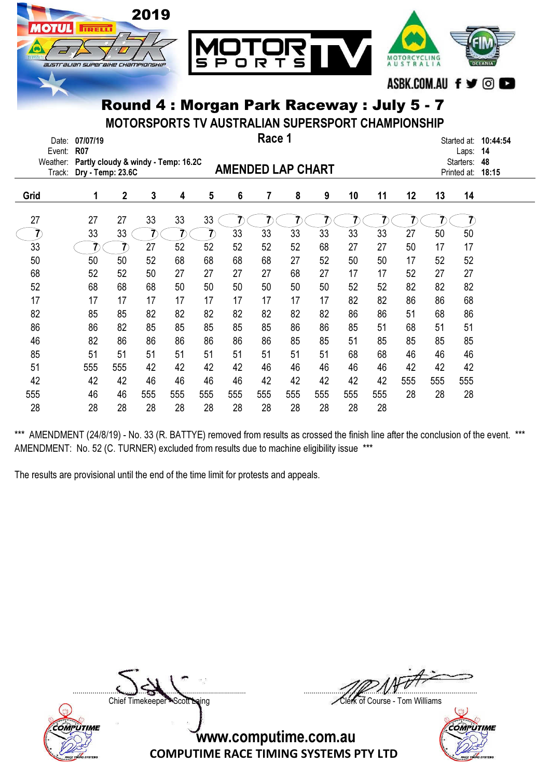

MOTORSPORTS TV AUSTRALIAN SUPERSPORT CHAMPIONSHIP

| Date:<br>Event:    | 07/07/19<br><b>R07</b>                                   |              |     |     |     |                | Race 1                   |     |     |     |     |     |     | Started at:<br>Laps:     | 10:44:54<br>14 |
|--------------------|----------------------------------------------------------|--------------|-----|-----|-----|----------------|--------------------------|-----|-----|-----|-----|-----|-----|--------------------------|----------------|
| Weather:<br>Track: | Partly cloudy & windy - Temp: 16.2C<br>Dry - Temp: 23.6C |              |     |     |     |                | <b>AMENDED LAP CHART</b> |     |     |     |     |     |     | Starters:<br>Printed at: | 48<br>18:15    |
| Grid               | 1                                                        | $\mathbf{2}$ | 3   | 4   | 5   | $6\phantom{a}$ | 7                        | 8   | 9   | 10  | 11  | 12  | 13  | 14                       |                |
| 27                 | 27                                                       | 27           | 33  | 33  | 33  |                |                          |     |     |     |     |     |     |                          |                |
|                    | 33                                                       | 33           | 7.  |     |     | 33             | 33                       | 33  | 33  | 33  | 33  | 27  | 50  | 50                       |                |
| 33                 |                                                          |              | 27  | 52  | 52  | 52             | 52                       | 52  | 68  | 27  | 27  | 50  | 17  | 17                       |                |
| 50                 | 50                                                       | 50           | 52  | 68  | 68  | 68             | 68                       | 27  | 52  | 50  | 50  | 17  | 52  | 52                       |                |
| 68                 | 52                                                       | 52           | 50  | 27  | 27  | 27             | 27                       | 68  | 27  | 17  | 17  | 52  | 27  | 27                       |                |
| 52                 | 68                                                       | 68           | 68  | 50  | 50  | 50             | 50                       | 50  | 50  | 52  | 52  | 82  | 82  | 82                       |                |
| 17                 | 17                                                       | 17           | 17  | 17  | 17  | 17             | 17                       | 17  | 17  | 82  | 82  | 86  | 86  | 68                       |                |
| 82                 | 85                                                       | 85           | 82  | 82  | 82  | 82             | 82                       | 82  | 82  | 86  | 86  | 51  | 68  | 86                       |                |
| 86                 | 86                                                       | 82           | 85  | 85  | 85  | 85             | 85                       | 86  | 86  | 85  | 51  | 68  | 51  | 51                       |                |
| 46                 | 82                                                       | 86           | 86  | 86  | 86  | 86             | 86                       | 85  | 85  | 51  | 85  | 85  | 85  | 85                       |                |
| 85                 | 51                                                       | 51           | 51  | 51  | 51  | 51             | 51                       | 51  | 51  | 68  | 68  | 46  | 46  | 46                       |                |
| 51                 | 555                                                      | 555          | 42  | 42  | 42  | 42             | 46                       | 46  | 46  | 46  | 46  | 42  | 42  | 42                       |                |
| 42                 | 42                                                       | 42           | 46  | 46  | 46  | 46             | 42                       | 42  | 42  | 42  | 42  | 555 | 555 | 555                      |                |
| 555                | 46                                                       | 46           | 555 | 555 | 555 | 555            | 555                      | 555 | 555 | 555 | 555 | 28  | 28  | 28                       |                |
| 28                 | 28                                                       | 28           | 28  | 28  | 28  | 28             | 28                       | 28  | 28  | 28  | 28  |     |     |                          |                |

\*\*\* AMENDMENT (24/8/19) - No. 33 (R. BATTYE) removed from results as crossed the finish line after the conclusion of the event. \*\*\* AMENDMENT: No. 52 (C. TURNER) excluded from results due to machine eligibility issue \*\*\*

The results are provisional until the end of the time limit for protests and appeals.



....................................................................................... .......................................................................................

Chief Timekeeper - Scott Laing Clerk of Course - Tom Williams